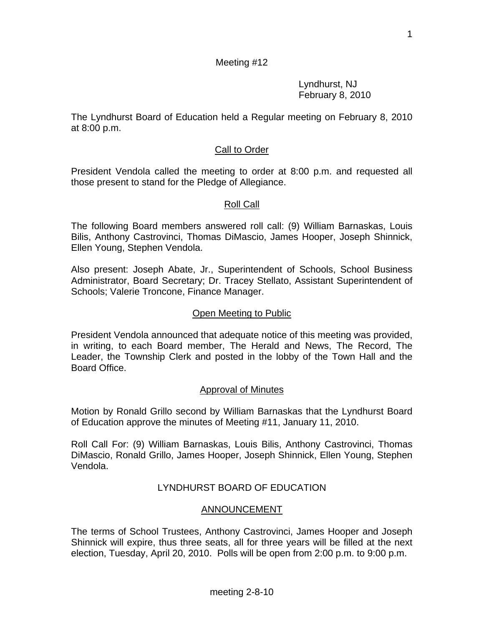# Meeting #12

 Lyndhurst, NJ February 8, 2010

The Lyndhurst Board of Education held a Regular meeting on February 8, 2010 at 8:00 p.m.

# Call to Order

President Vendola called the meeting to order at 8:00 p.m. and requested all those present to stand for the Pledge of Allegiance.

## Roll Call

The following Board members answered roll call: (9) William Barnaskas, Louis Bilis, Anthony Castrovinci, Thomas DiMascio, James Hooper, Joseph Shinnick, Ellen Young, Stephen Vendola.

Also present: Joseph Abate, Jr., Superintendent of Schools, School Business Administrator, Board Secretary; Dr. Tracey Stellato, Assistant Superintendent of Schools; Valerie Troncone, Finance Manager.

#### Open Meeting to Public

President Vendola announced that adequate notice of this meeting was provided, in writing, to each Board member, The Herald and News, The Record, The Leader, the Township Clerk and posted in the lobby of the Town Hall and the Board Office.

#### Approval of Minutes

Motion by Ronald Grillo second by William Barnaskas that the Lyndhurst Board of Education approve the minutes of Meeting #11, January 11, 2010.

Roll Call For: (9) William Barnaskas, Louis Bilis, Anthony Castrovinci, Thomas DiMascio, Ronald Grillo, James Hooper, Joseph Shinnick, Ellen Young, Stephen Vendola.

## LYNDHURST BOARD OF EDUCATION

## ANNOUNCEMENT

The terms of School Trustees, Anthony Castrovinci, James Hooper and Joseph Shinnick will expire, thus three seats, all for three years will be filled at the next election, Tuesday, April 20, 2010. Polls will be open from 2:00 p.m. to 9:00 p.m.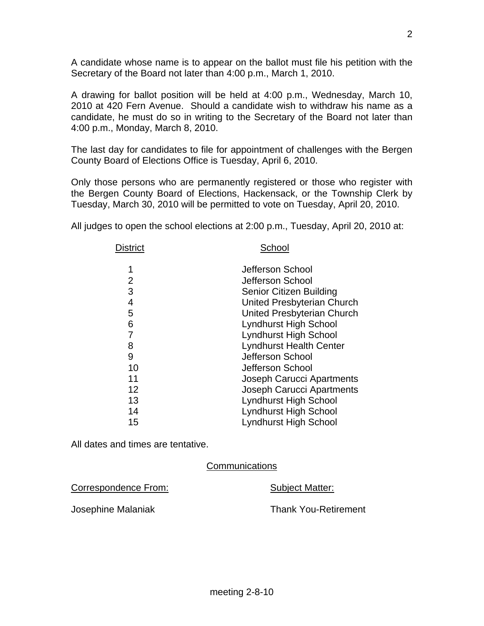A candidate whose name is to appear on the ballot must file his petition with the Secretary of the Board not later than 4:00 p.m., March 1, 2010.

A drawing for ballot position will be held at 4:00 p.m., Wednesday, March 10, 2010 at 420 Fern Avenue. Should a candidate wish to withdraw his name as a candidate, he must do so in writing to the Secretary of the Board not later than 4:00 p.m., Monday, March 8, 2010.

The last day for candidates to file for appointment of challenges with the Bergen County Board of Elections Office is Tuesday, April 6, 2010.

Only those persons who are permanently registered or those who register with the Bergen County Board of Elections, Hackensack, or the Township Clerk by Tuesday, March 30, 2010 will be permitted to vote on Tuesday, April 20, 2010.

All judges to open the school elections at 2:00 p.m., Tuesday, April 20, 2010 at:

| <b>District</b> | School                         |  |
|-----------------|--------------------------------|--|
| 1               | Jefferson School               |  |
| 2               | Jefferson School               |  |
| 3               | Senior Citizen Building        |  |
| 4               | United Presbyterian Church     |  |
| 5               | United Presbyterian Church     |  |
| 6               | Lyndhurst High School          |  |
|                 | Lyndhurst High School          |  |
| 8               | <b>Lyndhurst Health Center</b> |  |
| 9               | Jefferson School               |  |
| 10              | Jefferson School               |  |
| 11              | Joseph Carucci Apartments      |  |
| 12              | Joseph Carucci Apartments      |  |
| 13              | <b>Lyndhurst High School</b>   |  |
| 14              | Lyndhurst High School          |  |
| 15              | <b>Lyndhurst High School</b>   |  |

All dates and times are tentative.

**Communications** 

Correspondence From: Subject Matter:

Josephine Malaniak Thank You-Retirement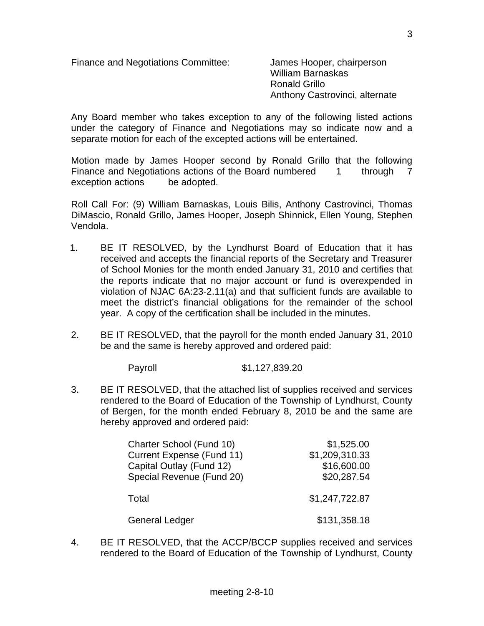Finance and Negotiations Committee: James Hooper, chairperson

 William Barnaskas Ronald Grillo Anthony Castrovinci, alternate

Any Board member who takes exception to any of the following listed actions under the category of Finance and Negotiations may so indicate now and a separate motion for each of the excepted actions will be entertained.

Motion made by James Hooper second by Ronald Grillo that the following Finance and Negotiations actions of the Board numbered 1 through 7 exception actions be adopted.

Roll Call For: (9) William Barnaskas, Louis Bilis, Anthony Castrovinci, Thomas DiMascio, Ronald Grillo, James Hooper, Joseph Shinnick, Ellen Young, Stephen Vendola.

- 1. BE IT RESOLVED, by the Lyndhurst Board of Education that it has received and accepts the financial reports of the Secretary and Treasurer of School Monies for the month ended January 31, 2010 and certifies that the reports indicate that no major account or fund is overexpended in violation of NJAC 6A:23-2.11(a) and that sufficient funds are available to meet the district's financial obligations for the remainder of the school year. A copy of the certification shall be included in the minutes.
- 2. BE IT RESOLVED, that the payroll for the month ended January 31, 2010 be and the same is hereby approved and ordered paid:

Payroll \$1,127,839.20

3. BE IT RESOLVED, that the attached list of supplies received and services rendered to the Board of Education of the Township of Lyndhurst, County of Bergen, for the month ended February 8, 2010 be and the same are hereby approved and ordered paid:

| Charter School (Fund 10)<br><b>Current Expense (Fund 11)</b><br>Capital Outlay (Fund 12)<br>Special Revenue (Fund 20) | \$1,525.00<br>\$1,209,310.33<br>\$16,600.00<br>\$20,287.54 |
|-----------------------------------------------------------------------------------------------------------------------|------------------------------------------------------------|
| Total                                                                                                                 | \$1,247,722.87                                             |
| <b>General Ledger</b>                                                                                                 | \$131,358.18                                               |

4. BE IT RESOLVED, that the ACCP/BCCP supplies received and services rendered to the Board of Education of the Township of Lyndhurst, County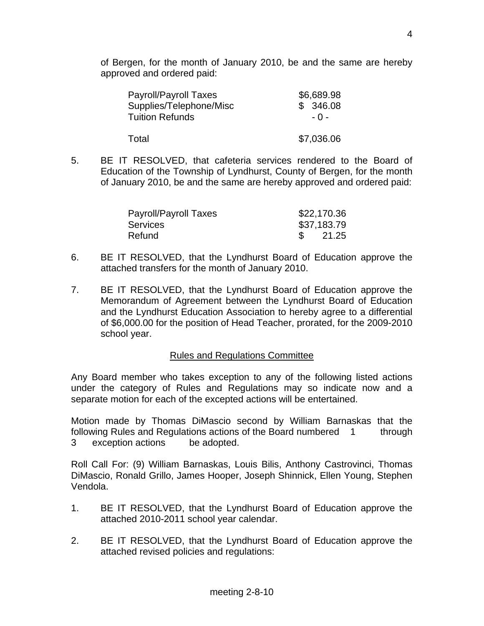of Bergen, for the month of January 2010, be and the same are hereby approved and ordered paid:

| <b>Payroll/Payroll Taxes</b> | \$6,689.98 |
|------------------------------|------------|
| Supplies/Telephone/Misc      | \$346.08   |
| <b>Tuition Refunds</b>       | - 0 -      |
| Total                        | \$7,036.06 |

5. BE IT RESOLVED, that cafeteria services rendered to the Board of Education of the Township of Lyndhurst, County of Bergen, for the month of January 2010, be and the same are hereby approved and ordered paid:

| Payroll/Payroll Taxes | \$22,170.36 |
|-----------------------|-------------|
| <b>Services</b>       | \$37,183.79 |
| Refund                | 21.25       |

- 6. BE IT RESOLVED, that the Lyndhurst Board of Education approve the attached transfers for the month of January 2010.
- 7. BE IT RESOLVED, that the Lyndhurst Board of Education approve the Memorandum of Agreement between the Lyndhurst Board of Education and the Lyndhurst Education Association to hereby agree to a differential of \$6,000.00 for the position of Head Teacher, prorated, for the 2009-2010 school year.

#### Rules and Regulations Committee

Any Board member who takes exception to any of the following listed actions under the category of Rules and Regulations may so indicate now and a separate motion for each of the excepted actions will be entertained.

Motion made by Thomas DiMascio second by William Barnaskas that the following Rules and Regulations actions of the Board numbered 1 through 3 exception actions be adopted.

Roll Call For: (9) William Barnaskas, Louis Bilis, Anthony Castrovinci, Thomas DiMascio, Ronald Grillo, James Hooper, Joseph Shinnick, Ellen Young, Stephen Vendola.

- 1. BE IT RESOLVED, that the Lyndhurst Board of Education approve the attached 2010-2011 school year calendar.
- 2. BE IT RESOLVED, that the Lyndhurst Board of Education approve the attached revised policies and regulations: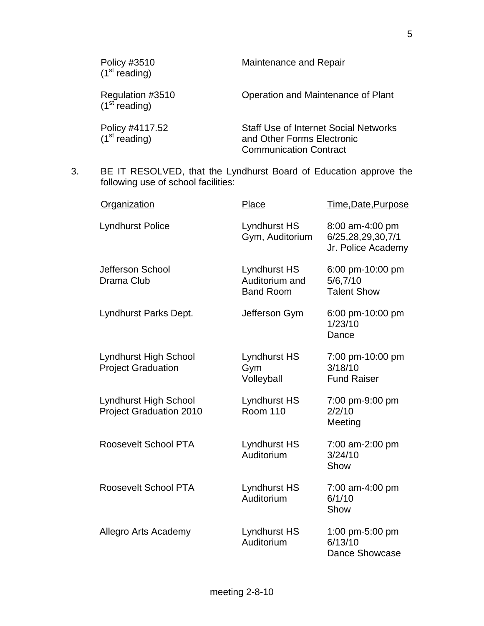| Policy #3510<br>(1 <sup>st</sup> reading)     | Maintenance and Repair                                                                                      |
|-----------------------------------------------|-------------------------------------------------------------------------------------------------------------|
| Regulation #3510<br>(1 <sup>st</sup> reading) | Operation and Maintenance of Plant                                                                          |
| Policy #4117.52<br>(1 <sup>st</sup> reading)  | <b>Staff Use of Internet Social Networks</b><br>and Other Forms Electronic<br><b>Communication Contract</b> |

3. BE IT RESOLVED, that the Lyndhurst Board of Education approve the following use of school facilities:

| Organization                                                   | Place                                              | Time, Date, Purpose                                        |
|----------------------------------------------------------------|----------------------------------------------------|------------------------------------------------------------|
| <b>Lyndhurst Police</b>                                        | <b>Lyndhurst HS</b><br>Gym, Auditorium             | 8:00 am-4:00 pm<br>6/25,28,29,30,7/1<br>Jr. Police Academy |
| Jefferson School<br>Drama Club                                 | Lyndhurst HS<br>Auditorium and<br><b>Band Room</b> | 6:00 pm-10:00 pm<br>5/6,7/10<br><b>Talent Show</b>         |
| Lyndhurst Parks Dept.                                          | Jefferson Gym                                      | 6:00 pm-10:00 pm<br>1/23/10<br>Dance                       |
| Lyndhurst High School<br><b>Project Graduation</b>             | Lyndhurst HS<br>Gym<br>Volleyball                  | 7:00 pm-10:00 pm<br>3/18/10<br><b>Fund Raiser</b>          |
| <b>Lyndhurst High School</b><br><b>Project Graduation 2010</b> | Lyndhurst HS<br><b>Room 110</b>                    | 7:00 pm-9:00 pm<br>2/2/10<br>Meeting                       |
| Roosevelt School PTA                                           | Lyndhurst HS<br>Auditorium                         | 7:00 am-2:00 pm<br>3/24/10<br>Show                         |
| Roosevelt School PTA                                           | Lyndhurst HS<br>Auditorium                         | 7:00 am-4:00 pm<br>6/1/10<br>Show                          |
| Allegro Arts Academy                                           | Lyndhurst HS<br>Auditorium                         | 1:00 pm-5:00 pm<br>6/13/10<br><b>Dance Showcase</b>        |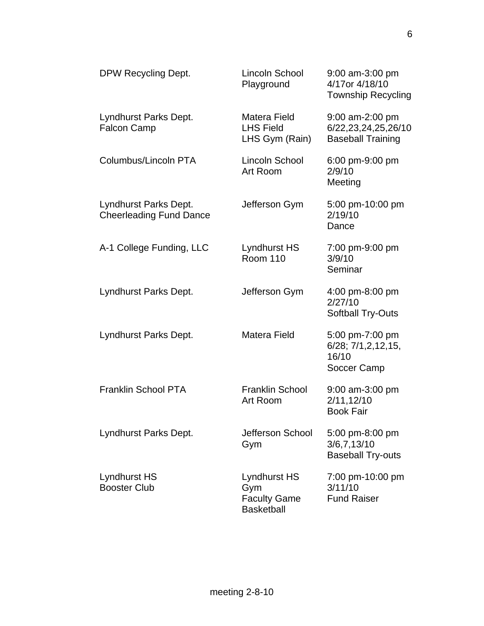| DPW Recycling Dept.                                     | Lincoln School<br>Playground                                           | $9:00$ am-3:00 pm<br>4/17or 4/18/10<br><b>Township Recycling</b>         |
|---------------------------------------------------------|------------------------------------------------------------------------|--------------------------------------------------------------------------|
| Lyndhurst Parks Dept.<br><b>Falcon Camp</b>             | Matera Field<br><b>LHS Field</b><br>LHS Gym (Rain)                     | $9:00$ am-2:00 pm<br>6/22, 23, 24, 25, 26/10<br><b>Baseball Training</b> |
| Columbus/Lincoln PTA                                    | Lincoln School<br>Art Room                                             | 6:00 pm-9:00 pm<br>2/9/10<br>Meeting                                     |
| Lyndhurst Parks Dept.<br><b>Cheerleading Fund Dance</b> | Jefferson Gym                                                          | 5:00 pm-10:00 pm<br>2/19/10<br>Dance                                     |
| A-1 College Funding, LLC                                | Lyndhurst HS<br><b>Room 110</b>                                        | 7:00 pm-9:00 pm<br>3/9/10<br>Seminar                                     |
| Lyndhurst Parks Dept.                                   | Jefferson Gym                                                          | 4:00 pm-8:00 pm<br>2/27/10<br><b>Softball Try-Outs</b>                   |
| Lyndhurst Parks Dept.                                   | Matera Field                                                           | 5:00 pm-7:00 pm<br>$6/28$ ; $7/1, 2, 12, 15$ ,<br>16/10<br>Soccer Camp   |
| <b>Franklin School PTA</b>                              | <b>Franklin School</b><br>Art Room                                     | 9:00 am-3:00 pm<br>2/11, 12/10<br><b>Book Fair</b>                       |
| Lyndhurst Parks Dept.                                   | Jefferson School<br>Gym                                                | 5:00 pm-8:00 pm<br>3/6, 7, 13/10<br><b>Baseball Try-outs</b>             |
| Lyndhurst HS<br><b>Booster Club</b>                     | <b>Lyndhurst HS</b><br>Gym<br><b>Faculty Game</b><br><b>Basketball</b> | 7:00 pm-10:00 pm<br>3/11/10<br><b>Fund Raiser</b>                        |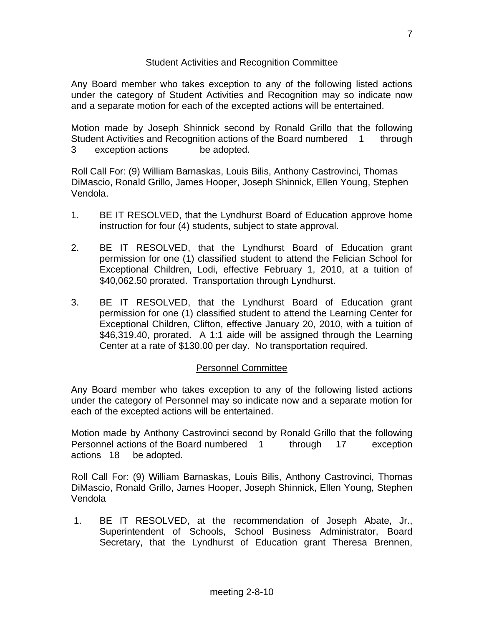## Student Activities and Recognition Committee

Any Board member who takes exception to any of the following listed actions under the category of Student Activities and Recognition may so indicate now and a separate motion for each of the excepted actions will be entertained.

Motion made by Joseph Shinnick second by Ronald Grillo that the following Student Activities and Recognition actions of the Board numbered 1 through 3 exception actions be adopted.

Roll Call For: (9) William Barnaskas, Louis Bilis, Anthony Castrovinci, Thomas DiMascio, Ronald Grillo, James Hooper, Joseph Shinnick, Ellen Young, Stephen Vendola.

- 1. BE IT RESOLVED, that the Lyndhurst Board of Education approve home instruction for four (4) students, subject to state approval.
- 2. BE IT RESOLVED, that the Lyndhurst Board of Education grant permission for one (1) classified student to attend the Felician School for Exceptional Children, Lodi, effective February 1, 2010, at a tuition of \$40,062.50 prorated. Transportation through Lyndhurst.
- 3. BE IT RESOLVED, that the Lyndhurst Board of Education grant permission for one (1) classified student to attend the Learning Center for Exceptional Children, Clifton, effective January 20, 2010, with a tuition of \$46,319.40, prorated. A 1:1 aide will be assigned through the Learning Center at a rate of \$130.00 per day. No transportation required.

## Personnel Committee

Any Board member who takes exception to any of the following listed actions under the category of Personnel may so indicate now and a separate motion for each of the excepted actions will be entertained.

Motion made by Anthony Castrovinci second by Ronald Grillo that the following Personnel actions of the Board numbered 1 through 17 exception actions 18 be adopted.

Roll Call For: (9) William Barnaskas, Louis Bilis, Anthony Castrovinci, Thomas DiMascio, Ronald Grillo, James Hooper, Joseph Shinnick, Ellen Young, Stephen Vendola

 1. BE IT RESOLVED, at the recommendation of Joseph Abate, Jr., Superintendent of Schools, School Business Administrator, Board Secretary, that the Lyndhurst of Education grant Theresa Brennen,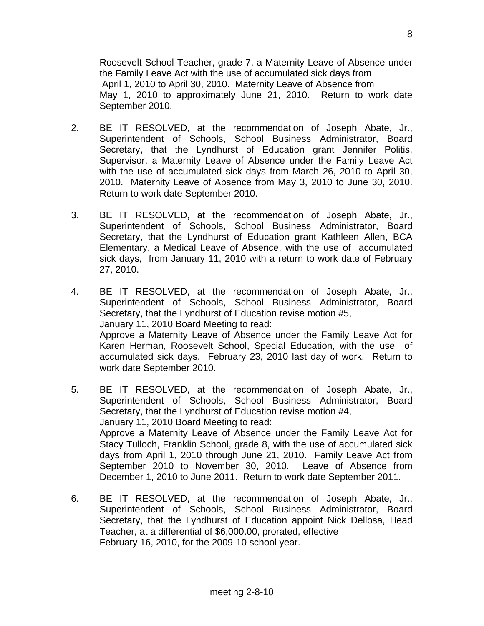Roosevelt School Teacher, grade 7, a Maternity Leave of Absence under the Family Leave Act with the use of accumulated sick days from April 1, 2010 to April 30, 2010. Maternity Leave of Absence from May 1, 2010 to approximately June 21, 2010. Return to work date September 2010.

- 2. BE IT RESOLVED, at the recommendation of Joseph Abate, Jr., Superintendent of Schools, School Business Administrator, Board Secretary, that the Lyndhurst of Education grant Jennifer Politis, Supervisor, a Maternity Leave of Absence under the Family Leave Act with the use of accumulated sick days from March 26, 2010 to April 30, 2010. Maternity Leave of Absence from May 3, 2010 to June 30, 2010. Return to work date September 2010.
- 3. BE IT RESOLVED, at the recommendation of Joseph Abate, Jr., Superintendent of Schools, School Business Administrator, Board Secretary, that the Lyndhurst of Education grant Kathleen Allen, BCA Elementary, a Medical Leave of Absence, with the use of accumulated sick days, from January 11, 2010 with a return to work date of February 27, 2010.
- 4. BE IT RESOLVED, at the recommendation of Joseph Abate, Jr., Superintendent of Schools, School Business Administrator, Board Secretary, that the Lyndhurst of Education revise motion #5, January 11, 2010 Board Meeting to read: Approve a Maternity Leave of Absence under the Family Leave Act for Karen Herman, Roosevelt School, Special Education, with the use of accumulated sick days. February 23, 2010 last day of work. Return to work date September 2010.
- 5. BE IT RESOLVED, at the recommendation of Joseph Abate, Jr., Superintendent of Schools, School Business Administrator, Board Secretary, that the Lyndhurst of Education revise motion #4, January 11, 2010 Board Meeting to read: Approve a Maternity Leave of Absence under the Family Leave Act for Stacy Tulloch, Franklin School, grade 8, with the use of accumulated sick days from April 1, 2010 through June 21, 2010. Family Leave Act from September 2010 to November 30, 2010. Leave of Absence from December 1, 2010 to June 2011. Return to work date September 2011.
- 6. BE IT RESOLVED, at the recommendation of Joseph Abate, Jr., Superintendent of Schools, School Business Administrator, Board Secretary, that the Lyndhurst of Education appoint Nick Dellosa, Head Teacher, at a differential of \$6,000.00, prorated, effective February 16, 2010, for the 2009-10 school year.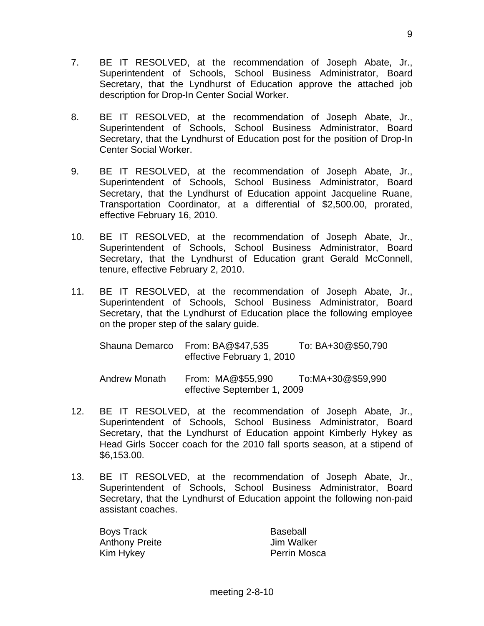- 7. BE IT RESOLVED, at the recommendation of Joseph Abate, Jr., Superintendent of Schools, School Business Administrator, Board Secretary, that the Lyndhurst of Education approve the attached job description for Drop-In Center Social Worker.
- 8. BE IT RESOLVED, at the recommendation of Joseph Abate, Jr., Superintendent of Schools, School Business Administrator, Board Secretary, that the Lyndhurst of Education post for the position of Drop-In Center Social Worker.
- 9. BE IT RESOLVED, at the recommendation of Joseph Abate, Jr., Superintendent of Schools, School Business Administrator, Board Secretary, that the Lyndhurst of Education appoint Jacqueline Ruane, Transportation Coordinator, at a differential of \$2,500.00, prorated, effective February 16, 2010.
- 10. BE IT RESOLVED, at the recommendation of Joseph Abate, Jr., Superintendent of Schools, School Business Administrator, Board Secretary, that the Lyndhurst of Education grant Gerald McConnell, tenure, effective February 2, 2010.
- 11. BE IT RESOLVED, at the recommendation of Joseph Abate, Jr., Superintendent of Schools, School Business Administrator, Board Secretary, that the Lyndhurst of Education place the following employee on the proper step of the salary guide.

|                      | Shauna Demarco From: BA@\$47,535<br>effective February 1, 2010 | To: BA+30@\$50,790 |
|----------------------|----------------------------------------------------------------|--------------------|
| <b>Andrew Monath</b> | From: MA@\$55,990<br>effective September 1, 2009               | To:MA+30@\$59,990  |

- 12. BE IT RESOLVED, at the recommendation of Joseph Abate, Jr., Superintendent of Schools, School Business Administrator, Board Secretary, that the Lyndhurst of Education appoint Kimberly Hykey as Head Girls Soccer coach for the 2010 fall sports season, at a stipend of \$6,153.00.
- 13. BE IT RESOLVED, at the recommendation of Joseph Abate, Jr., Superintendent of Schools, School Business Administrator, Board Secretary, that the Lyndhurst of Education appoint the following non-paid assistant coaches.

Boys Track **Baseball** Anthony Preite **Jim Walker** Kim Hykey **Perrin Mosca**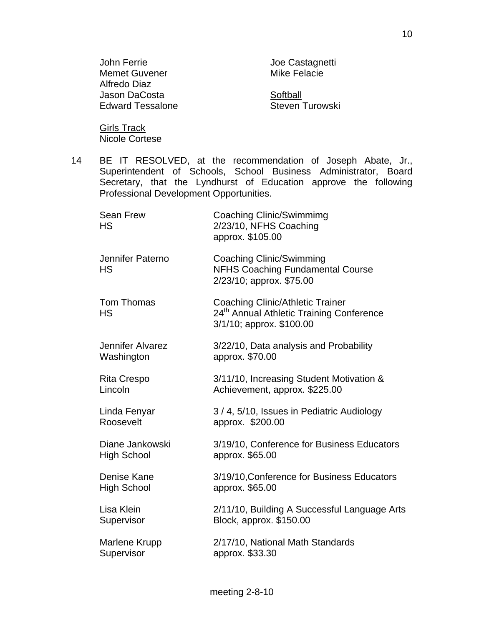| John Ferrie             | Joe Castagnetti     |
|-------------------------|---------------------|
| <b>Memet Guvener</b>    | <b>Mike Felacie</b> |
| Alfredo Diaz            |                     |
| Jason DaCosta           | Softball            |
| <b>Edward Tessalone</b> | Steven Turowski     |
|                         |                     |

**Girls Track** Nicole Cortese

- 
- 14 BE IT RESOLVED, at the recommendation of Joseph Abate, Jr., Superintendent of Schools, School Business Administrator, Board Secretary, that the Lyndhurst of Education approve the following Professional Development Opportunities.

| <b>Sean Frew</b><br><b>HS</b>         | <b>Coaching Clinic/Swimmimg</b><br>2/23/10, NFHS Coaching<br>approx. \$105.00                                               |
|---------------------------------------|-----------------------------------------------------------------------------------------------------------------------------|
| Jennifer Paterno<br><b>HS</b>         | <b>Coaching Clinic/Swimming</b><br><b>NFHS Coaching Fundamental Course</b><br>2/23/10; approx. \$75.00                      |
| <b>Tom Thomas</b><br><b>HS</b>        | <b>Coaching Clinic/Athletic Trainer</b><br>24 <sup>th</sup> Annual Athletic Training Conference<br>3/1/10; approx. \$100.00 |
| Jennifer Alvarez<br>Washington        | 3/22/10, Data analysis and Probability<br>approx. \$70.00                                                                   |
| <b>Rita Crespo</b><br>Lincoln         | 3/11/10, Increasing Student Motivation &<br>Achievement, approx. \$225.00                                                   |
| Linda Fenyar<br>Roosevelt             | 3/4, 5/10, Issues in Pediatric Audiology<br>approx. \$200.00                                                                |
| Diane Jankowski<br><b>High School</b> | 3/19/10, Conference for Business Educators<br>approx. \$65.00                                                               |
| Denise Kane<br><b>High School</b>     | 3/19/10, Conference for Business Educators<br>approx. \$65.00                                                               |
| Lisa Klein<br>Supervisor              | 2/11/10, Building A Successful Language Arts<br>Block, approx. \$150.00                                                     |
| Marlene Krupp<br>Supervisor           | 2/17/10, National Math Standards<br>approx. \$33.30                                                                         |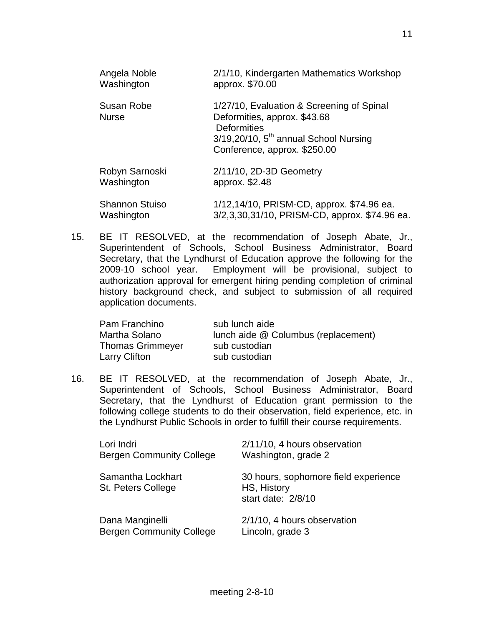| Angela Noble               | 2/1/10, Kindergarten Mathematics Workshop                                                                                                                              |
|----------------------------|------------------------------------------------------------------------------------------------------------------------------------------------------------------------|
| Washington                 | approx. \$70.00                                                                                                                                                        |
| Susan Robe<br><b>Nurse</b> | 1/27/10, Evaluation & Screening of Spinal<br>Deformities, approx. \$43.68<br>Deformities<br>$3/19,20/10$ , $5th$ annual School Nursing<br>Conference, approx. \$250.00 |
| Robyn Sarnoski             | 2/11/10, 2D-3D Geometry                                                                                                                                                |
| Washington                 | approx. \$2.48                                                                                                                                                         |
| <b>Shannon Stuiso</b>      | 1/12,14/10, PRISM-CD, approx. \$74.96 ea.                                                                                                                              |
| Washington                 | 3/2,3,30,31/10, PRISM-CD, approx. \$74.96 ea.                                                                                                                          |

15. BE IT RESOLVED, at the recommendation of Joseph Abate, Jr., Superintendent of Schools, School Business Administrator, Board Secretary, that the Lyndhurst of Education approve the following for the 2009-10 school year. Employment will be provisional, subject to authorization approval for emergent hiring pending completion of criminal history background check, and subject to submission of all required application documents.

| Pam Franchino           | sub lunch aide                      |
|-------------------------|-------------------------------------|
| Martha Solano           | lunch aide @ Columbus (replacement) |
| <b>Thomas Grimmeyer</b> | sub custodian                       |
| Larry Clifton           | sub custodian                       |

16. BE IT RESOLVED, at the recommendation of Joseph Abate, Jr., Superintendent of Schools, School Business Administrator, Board Secretary, that the Lyndhurst of Education grant permission to the following college students to do their observation, field experience, etc. in the Lyndhurst Public Schools in order to fulfill their course requirements.

| Lori Indri                              | 2/11/10, 4 hours observation                                              |
|-----------------------------------------|---------------------------------------------------------------------------|
| <b>Bergen Community College</b>         | Washington, grade 2                                                       |
| Samantha Lockhart<br>St. Peters College | 30 hours, sophomore field experience<br>HS, History<br>start date: 2/8/10 |
| Dana Manginelli                         | 2/1/10, 4 hours observation                                               |
| <b>Bergen Community College</b>         | Lincoln, grade 3                                                          |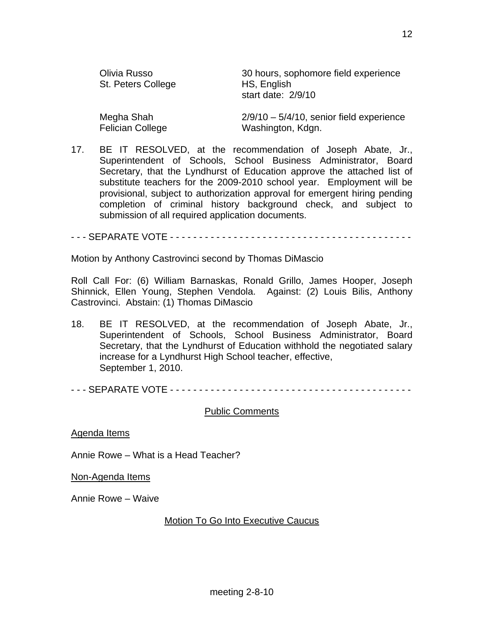| Olivia Russo<br>St. Peters College | 30 hours, sophomore field experience<br>HS, English<br>start date: 2/9/10 |
|------------------------------------|---------------------------------------------------------------------------|
| Megha Shah                         | $2/9/10 - 5/4/10$ , senior field experience                               |
| <b>Felician College</b>            | Washington, Kdgn.                                                         |

17. BE IT RESOLVED, at the recommendation of Joseph Abate, Jr., Superintendent of Schools, School Business Administrator, Board Secretary, that the Lyndhurst of Education approve the attached list of substitute teachers for the 2009-2010 school year. Employment will be provisional, subject to authorization approval for emergent hiring pending completion of criminal history background check, and subject to submission of all required application documents.

- - - SEPARATE VOTE - - - - - - - - - - - - - - - - - - - - - - - - - - - - - - - - - - - - - - - - - -

Motion by Anthony Castrovinci second by Thomas DiMascio

Roll Call For: (6) William Barnaskas, Ronald Grillo, James Hooper, Joseph Shinnick, Ellen Young, Stephen Vendola. Against: (2) Louis Bilis, Anthony Castrovinci. Abstain: (1) Thomas DiMascio

18. BE IT RESOLVED, at the recommendation of Joseph Abate, Jr., Superintendent of Schools, School Business Administrator, Board Secretary, that the Lyndhurst of Education withhold the negotiated salary increase for a Lyndhurst High School teacher, effective, September 1, 2010.

- - - SEPARATE VOTE - - - - - - - - - - - - - - - - - - - - - - - - - - - - - - - - - - - - - - - - - -

#### Public Comments

Agenda Items

Annie Rowe – What is a Head Teacher?

Non-Agenda Items

Annie Rowe – Waive